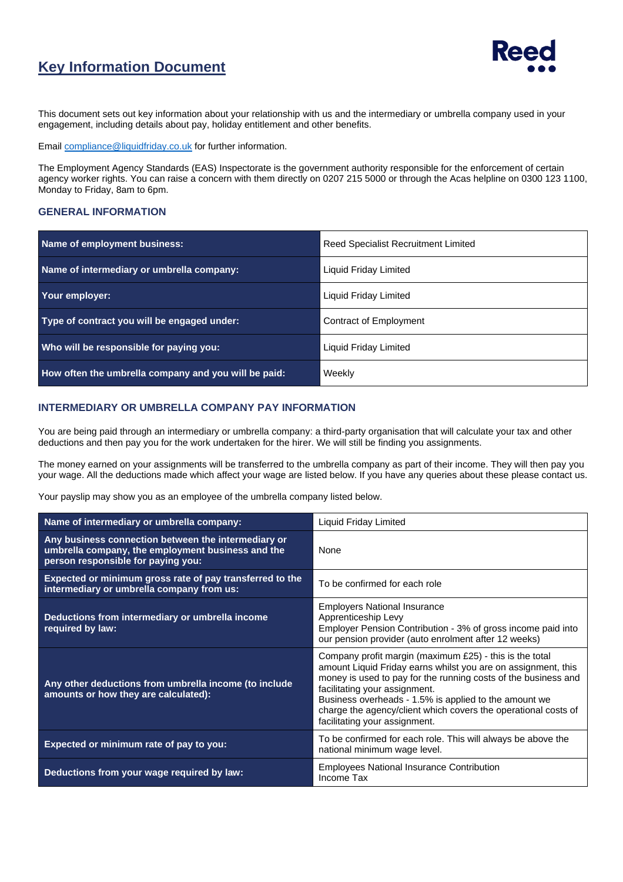## **Key Information Document**



This document sets out key information about your relationship with us and the intermediary or umbrella company used in your engagement, including details about pay, holiday entitlement and other benefits.

Email [compliance@liquidfriday.co.uk](mailto:compliance@liquidfriday.co.uk) for further information.

The Employment Agency Standards (EAS) Inspectorate is the government authority responsible for the enforcement of certain agency worker rights. You can raise a concern with them directly on 0207 215 5000 or through the Acas helpline on 0300 123 1100, Monday to Friday, 8am to 6pm.

#### **GENERAL INFORMATION**

| Name of employment business:                         | <b>Reed Specialist Recruitment Limited</b> |  |
|------------------------------------------------------|--------------------------------------------|--|
| Name of intermediary or umbrella company:            | Liquid Friday Limited                      |  |
| Your employer:                                       | Liquid Friday Limited                      |  |
| Type of contract you will be engaged under:          | Contract of Employment                     |  |
| Who will be responsible for paying you:              | <b>Liquid Friday Limited</b>               |  |
| How often the umbrella company and you will be paid: | Weekly                                     |  |

#### **INTERMEDIARY OR UMBRELLA COMPANY PAY INFORMATION**

You are being paid through an intermediary or umbrella company: a third-party organisation that will calculate your tax and other deductions and then pay you for the work undertaken for the hirer. We will still be finding you assignments.

The money earned on your assignments will be transferred to the umbrella company as part of their income. They will then pay you your wage. All the deductions made which affect your wage are listed below. If you have any queries about these please contact us.

Your payslip may show you as an employee of the umbrella company listed below.

| Name of intermediary or umbrella company:                                                                                                      | Liquid Friday Limited                                                                                                                                                                                                                                                                                                                                                                   |  |
|------------------------------------------------------------------------------------------------------------------------------------------------|-----------------------------------------------------------------------------------------------------------------------------------------------------------------------------------------------------------------------------------------------------------------------------------------------------------------------------------------------------------------------------------------|--|
| Any business connection between the intermediary or<br>umbrella company, the employment business and the<br>person responsible for paying you: | <b>None</b>                                                                                                                                                                                                                                                                                                                                                                             |  |
| Expected or minimum gross rate of pay transferred to the<br>intermediary or umbrella company from us:                                          | To be confirmed for each role                                                                                                                                                                                                                                                                                                                                                           |  |
| Deductions from intermediary or umbrella income<br>required by law:                                                                            | <b>Employers National Insurance</b><br>Apprenticeship Levy<br>Employer Pension Contribution - 3% of gross income paid into<br>our pension provider (auto enrolment after 12 weeks)                                                                                                                                                                                                      |  |
| Any other deductions from umbrella income (to include<br>amounts or how they are calculated):                                                  | Company profit margin (maximum £25) - this is the total<br>amount Liquid Friday earns whilst you are on assignment, this<br>money is used to pay for the running costs of the business and<br>facilitating your assignment.<br>Business overheads - 1.5% is applied to the amount we<br>charge the agency/client which covers the operational costs of<br>facilitating your assignment. |  |
| Expected or minimum rate of pay to you:                                                                                                        | To be confirmed for each role. This will always be above the<br>national minimum wage level.                                                                                                                                                                                                                                                                                            |  |
| Deductions from your wage required by law:                                                                                                     | <b>Employees National Insurance Contribution</b><br>Income Tax                                                                                                                                                                                                                                                                                                                          |  |